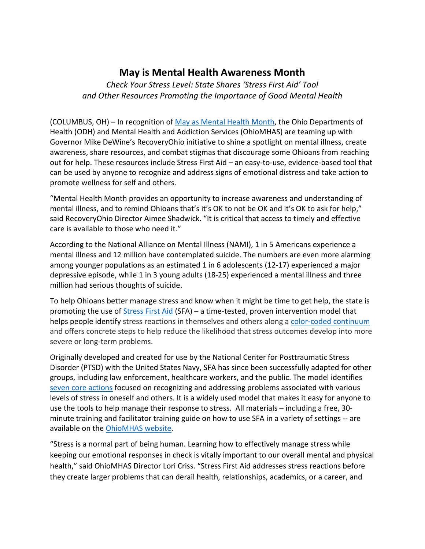## **May is Mental Health Awareness Month**

*Check Your Stress Level: State Shares 'Stress First Aid' Tool and Other Resources Promoting the Importance of Good Mental Health* 

(COLUMBUS, OH) – In recognition of [May as Mental Health Month,](https://gcc02.safelinks.protection.outlook.com/?url=https%3A%2F%2Fmha.ohio.gov%2Fstatic%2FAboutUs%2FMediaCenter%2FPressRelease%2FMHAMProclamation2022.pdf&data=05%7C01%7Ceric.wandersleben%40mha.ohio.gov%7C689bde9aef9740cee42608da2931cdec%7C50f8fcc494d84f0784eb36ed57c7c8a2%7C0%7C0%7C637867591138427414%7CUnknown%7CTWFpbGZsb3d8eyJWIjoiMC4wLjAwMDAiLCJQIjoiV2luMzIiLCJBTiI6Ik1haWwiLCJXVCI6Mn0%3D%7C3000%7C%7C%7C&sdata=Gt67zOkQk3Vxi2M7C3NJZF7BUaYgmpFbxPSuAPUkntI%3D&reserved=0) the Ohio Departments of Health (ODH) and Mental Health and Addiction Services (OhioMHAS) are teaming up with Governor Mike DeWine's RecoveryOhio initiative to shine a spotlight on mental illness, create awareness, share resources, and combat stigmas that discourage some Ohioans from reaching out for help. These resources include Stress First Aid – an easy-to-use, evidence-based tool that can be used by anyone to recognize and address signs of emotional distress and take action to promote wellness for self and others.

"Mental Health Month provides an opportunity to increase awareness and understanding of mental illness, and to remind Ohioans that's it's OK to not be OK and it's OK to ask for help," said RecoveryOhio Director Aimee Shadwick. "It is critical that access to timely and effective care is available to those who need it."

According to the National Alliance on Mental Illness (NAMI), 1 in 5 Americans experience a mental illness and 12 million have contemplated suicide. The numbers are even more alarming among younger populations as an estimated 1 in 6 adolescents (12-17) experienced a major depressive episode, while 1 in 3 young adults (18-25) experienced a mental illness and three million had serious thoughts of suicide.

To help Ohioans better manage stress and know when it might be time to get help, the state is promoting the use of **Stress First Aid** (SFA) – a time-tested, proven intervention model that helps people identify stress reactions in themselves and others along a [color-coded continuum](https://mha.ohio.gov/static/GetHelpNow/StressFirstAid/what-is-your-stress-level.pdf) and offers concrete steps to help reduce the likelihood that stress outcomes develop into more severe or long-term problems.

Originally developed and created for use by the National Center for Posttraumatic Stress Disorder (PTSD) with the United States Navy, SFA has since been successfully adapted for other groups, including law enforcement, healthcare workers, and the public. The model identifies [seven core actions](https://mha.ohio.gov/static/GetHelpNow/StressFirstAid/7Cs.pdf) focused on recognizing and addressing problems associated with various levels of stress in oneself and others. It is a widely used model that makes it easy for anyone to use the tools to help manage their response to stress. All materials – including a free, 30 minute training and facilitator training guide on how to use SFA in a variety of settings -- are available on the [OhioMHAS website.](https://mha.ohio.gov/static/GetHelpNow/StressFirstAid/Stress-First-Aid-30min.pptx)

"Stress is a normal part of being human. Learning how to effectively manage stress while keeping our emotional responses in check is vitally important to our overall mental and physical health," said OhioMHAS Director Lori Criss. "Stress First Aid addresses stress reactions before they create larger problems that can derail health, relationships, academics, or a career, and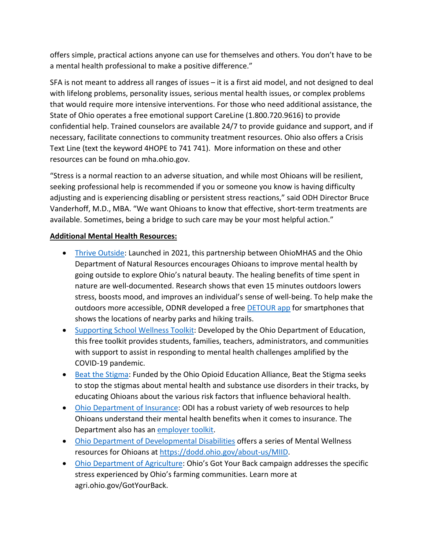offers simple, practical actions anyone can use for themselves and others. You don't have to be a mental health professional to make a positive difference."

SFA is not meant to address all ranges of issues – it is a first aid model, and not designed to deal with lifelong problems, personality issues, serious mental health issues, or complex problems that would require more intensive interventions. For those who need additional assistance, the State of Ohio operates a free emotional support CareLine (1.800.720.9616) to provide confidential help. Trained counselors are available 24/7 to provide guidance and support, and if necessary, facilitate connections to community treatment resources. Ohio also offers a Crisis Text Line (text the keyword 4HOPE to 741 741). More information on these and other resources can be found on mha.ohio.gov.

"Stress is a normal reaction to an adverse situation, and while most Ohioans will be resilient, seeking professional help is recommended if you or someone you know is having difficulty adjusting and is experiencing disabling or persistent stress reactions," said ODH Director Bruce Vanderhoff, M.D., MBA. "We want Ohioans to know that effective, short-term treatments are available. Sometimes, being a bridge to such care may be your most helpful action."

## **Additional Mental Health Resources:**

- [Thrive Outside:](https://mha.ohio.gov/get-help/prevention-services/thrive-outside) Launched in 2021, this partnership between OhioMHAS and the Ohio Department of Natural Resources encourages Ohioans to improve mental health by going outside to explore Ohio's natural beauty. The healing benefits of time spent in nature are well-documented. Research shows that even 15 minutes outdoors lowers stress, boosts mood, and improves an individual's sense of well-being. To help make the outdoors more accessible, ODNR developed a free [DETOUR app](https://ohiodnr.gov/go-and-do/outdoor/ohio-trails-app/detour-app) for smartphones that shows the locations of nearby parks and hiking trails.
- [Supporting School Wellness Toolkit:](https://education.ohio.gov/Topics/Student-Supports/Supporting-Student-Wellness-Toolkit#StudentsAndFamilies) Developed by the Ohio Department of Education, this free toolkit provides students, families, teachers, administrators, and communities with support to assist in responding to mental health challenges amplified by the COVID-19 pandemic.
- [Beat the Stigma:](https://beatthestigma.org/) Funded by the Ohio Opioid Education Alliance, Beat the Stigma seeks to stop the stigmas about mental health and substance use disorders in their tracks, by educating Ohioans about the various risk factors that influence behavioral health.
- [Ohio Department of Insurance:](https://insurance.ohio.gov/strategic-initiatives/mental-health) ODI has a robust variety of web resources to help Ohioans understand their mental health benefits when it comes to insurance. The Department also has an [employer toolkit.](https://insurance.ohio.gov/strategic-initiatives/mental-health/resources/employer-toolkit)
- [Ohio Department of Developmental Disabilities](https://dodd.ohio.gov/about-us/mental-wellness) offers a series of Mental Wellness resources for Ohioans at [https://dodd.ohio.gov/about-us/MIID.](https://gcc02.safelinks.protection.outlook.com/?url=https%3A%2F%2Fdodd.ohio.gov%2Fabout-us%2FMIID&data=05%7C01%7Ceric.wandersleben%40mha.ohio.gov%7C65387cf30c7246f3d09f08da2de0a2c5%7C50f8fcc494d84f0784eb36ed57c7c8a2%7C0%7C0%7C637872740073829500%7CUnknown%7CTWFpbGZsb3d8eyJWIjoiMC4wLjAwMDAiLCJQIjoiV2luMzIiLCJBTiI6Ik1haWwiLCJXVCI6Mn0%3D%7C3000%7C%7C%7C&sdata=eCLCVr%2Fv%2FsVVz5ScDLdkh4%2BR2%2BFZmxuijdg0M%2BNFHGI%3D&reserved=0)
- [Ohio Department of Agriculture:](https://agri.ohio.gov/gotyourback) Ohio's Got Your Back campaign addresses the specific stress experienced by Ohio's farming communities. Learn more at agri.ohio.gov/GotYourBack.